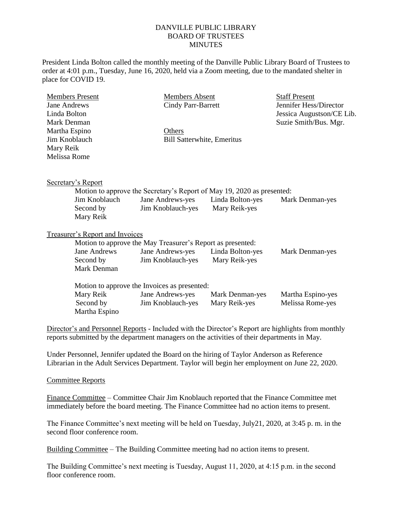## DANVILLE PUBLIC LIBRARY BOARD OF TRUSTEES **MINUTES**

President Linda Bolton called the monthly meeting of the Danville Public Library Board of Trustees to order at 4:01 p.m., Tuesday, June 16, 2020, held via a Zoom meeting, due to the mandated shelter in place for COVID 19.

| <b>Members Present</b>                 |                                                                        | <b>Members Absent</b> |                                   | <b>Staff Present</b>      |  |
|----------------------------------------|------------------------------------------------------------------------|-----------------------|-----------------------------------|---------------------------|--|
| <b>Jane Andrews</b>                    |                                                                        | Cindy Parr-Barrett    |                                   | Jennifer Hess/Director    |  |
| Linda Bolton                           |                                                                        |                       |                                   | Jessica Augustson/CE Lib. |  |
| Mark Denman                            |                                                                        |                       |                                   | Suzie Smith/Bus. Mgr.     |  |
| Martha Espino                          |                                                                        | Others                |                                   |                           |  |
| Jim Knoblauch                          |                                                                        |                       | <b>Bill Satterwhite, Emeritus</b> |                           |  |
| Mary Reik                              |                                                                        |                       |                                   |                           |  |
| Melissa Rome                           |                                                                        |                       |                                   |                           |  |
|                                        |                                                                        |                       |                                   |                           |  |
|                                        |                                                                        |                       |                                   |                           |  |
| Secretary's Report                     |                                                                        |                       |                                   |                           |  |
|                                        | Motion to approve the Secretary's Report of May 19, 2020 as presented: |                       |                                   |                           |  |
|                                        | Jim Knoblauch                                                          | Jane Andrews-yes      | Linda Bolton-yes                  | Mark Denman-yes           |  |
|                                        | Second by                                                              | Jim Knoblauch-yes     | Mary Reik-yes                     |                           |  |
|                                        | Mary Reik                                                              |                       |                                   |                           |  |
|                                        |                                                                        |                       |                                   |                           |  |
| <b>Treasurer's Report and Invoices</b> |                                                                        |                       |                                   |                           |  |
|                                        | Motion to approve the May Treasurer's Report as presented:             |                       |                                   |                           |  |
|                                        | <b>Jane Andrews</b>                                                    | Jane Andrews-yes      | Linda Bolton-yes                  | Mark Denman-yes           |  |
|                                        | Second by                                                              | Jim Knoblauch-yes     | Mary Reik-yes                     |                           |  |
|                                        | Mark Denman                                                            |                       |                                   |                           |  |
|                                        |                                                                        |                       |                                   |                           |  |
|                                        | Motion to approve the Invoices as presented:                           |                       |                                   |                           |  |
|                                        | Mary Reik                                                              | Jane Andrews-yes      | Mark Denman-yes                   | Martha Espino-yes         |  |
|                                        | Second by                                                              | Jim Knoblauch-yes     | Mary Reik-yes                     | Melissa Rome-yes          |  |
|                                        | Martha Espino                                                          |                       |                                   |                           |  |
|                                        |                                                                        |                       |                                   |                           |  |

Director's and Personnel Reports - Included with the Director's Report are highlights from monthly reports submitted by the department managers on the activities of their departments in May.

Under Personnel, Jennifer updated the Board on the hiring of Taylor Anderson as Reference Librarian in the Adult Services Department. Taylor will begin her employment on June 22, 2020.

## Committee Reports

Finance Committee – Committee Chair Jim Knoblauch reported that the Finance Committee met immediately before the board meeting. The Finance Committee had no action items to present.

The Finance Committee's next meeting will be held on Tuesday, July21, 2020, at 3:45 p. m. in the second floor conference room.

Building Committee – The Building Committee meeting had no action items to present.

The Building Committee's next meeting is Tuesday, August 11, 2020, at 4:15 p.m. in the second floor conference room.